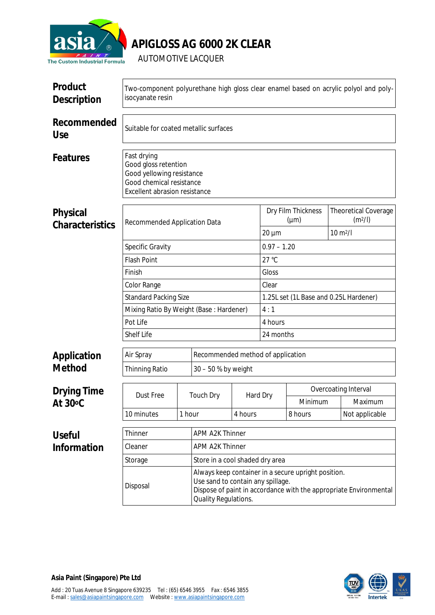

## **APIGLOSS AG 6000 2K CLEAR**

AUTOMOTIVE LACQUER

| <b>Product</b><br><b>Description</b>  | Two-component polyurethane high gloss clear enamel based on acrylic polyol and poly-<br>isocyanate resin                                                                                                        |                                 |                         |                                                          |                                          |                             |  |                |  |  |
|---------------------------------------|-----------------------------------------------------------------------------------------------------------------------------------------------------------------------------------------------------------------|---------------------------------|-------------------------|----------------------------------------------------------|------------------------------------------|-----------------------------|--|----------------|--|--|
| <b>Recommended</b><br><b>Use</b>      | Suitable for coated metallic surfaces                                                                                                                                                                           |                                 |                         |                                                          |                                          |                             |  |                |  |  |
| <b>Features</b>                       | <b>Fast drying</b><br><b>Good gloss retention</b><br><b>Good yellowing resistance</b><br><b>Good chemical resistance</b><br><b>Excellent abrasion resistance</b>                                                |                                 |                         |                                                          |                                          |                             |  |                |  |  |
| <b>Physical</b>                       |                                                                                                                                                                                                                 |                                 |                         | <b>Dry Film Thickness</b><br><b>Theoretical Coverage</b> |                                          |                             |  |                |  |  |
| <b>Characteristics</b>                | <b>Recommended Application Data</b>                                                                                                                                                                             |                                 | $(\mu m)$<br>$20 \mu m$ |                                                          | $10 \text{ m}^2$ /                       | $(m^2/l)$                   |  |                |  |  |
|                                       | <b>Specific Gravity</b>                                                                                                                                                                                         |                                 |                         |                                                          |                                          | $0.97 - 1.20$               |  |                |  |  |
|                                       | <b>Flash Point</b>                                                                                                                                                                                              |                                 |                         |                                                          | $27^{\circ}C$                            |                             |  |                |  |  |
|                                       | Finish                                                                                                                                                                                                          |                                 |                         |                                                          | <b>Gloss</b>                             |                             |  |                |  |  |
|                                       | <b>Color Range</b>                                                                                                                                                                                              |                                 | <b>Clear</b>            |                                                          |                                          |                             |  |                |  |  |
|                                       | <b>Standard Packing Size</b>                                                                                                                                                                                    |                                 |                         |                                                          | 1.25L set (1L Base and 0.25L Hardener)   |                             |  |                |  |  |
|                                       | <b>Mixing Ratio By Weight (Base: Hardener)</b>                                                                                                                                                                  |                                 | 4:1                     |                                                          |                                          |                             |  |                |  |  |
|                                       | Pot Life                                                                                                                                                                                                        |                                 | 4 hours                 |                                                          |                                          |                             |  |                |  |  |
|                                       | <b>Shelf Life</b>                                                                                                                                                                                               | 24 months                       |                         |                                                          |                                          |                             |  |                |  |  |
| <b>Application</b>                    | <b>Air Spray</b>                                                                                                                                                                                                |                                 |                         |                                                          | <b>Recommended method of application</b> |                             |  |                |  |  |
| <b>Method</b>                         | <b>Thinning Ratio</b>                                                                                                                                                                                           |                                 | $30 - 50 %$ by weight   |                                                          |                                          |                             |  |                |  |  |
| <b>Drying Time</b><br><b>At 30 °C</b> |                                                                                                                                                                                                                 |                                 |                         |                                                          |                                          | <b>Overcoating Interval</b> |  |                |  |  |
|                                       | <b>Dust Free</b>                                                                                                                                                                                                |                                 | <b>Touch Dry</b>        | <b>Hard Dry</b>                                          |                                          | <b>Minimum</b>              |  | <b>Maximum</b> |  |  |
|                                       | 10 minutes                                                                                                                                                                                                      | 1 hour                          |                         | 4 hours                                                  |                                          | 8 hours                     |  | Not applicable |  |  |
| <b>Useful</b>                         | <b>APM A2K Thinner</b><br><b>Thinner</b>                                                                                                                                                                        |                                 |                         |                                                          |                                          |                             |  |                |  |  |
| <b>Information</b>                    | <b>Cleaner</b>                                                                                                                                                                                                  |                                 | <b>APM A2K Thinner</b>  |                                                          |                                          |                             |  |                |  |  |
|                                       | <b>Storage</b>                                                                                                                                                                                                  | Store in a cool shaded dry area |                         |                                                          |                                          |                             |  |                |  |  |
|                                       | Always keep container in a secure upright position.<br>Use sand to contain any spillage.<br><b>Disposal</b><br>Dispose of paint in accordance with the appropriate Environmental<br><b>Quality Regulations.</b> |                                 |                         |                                                          |                                          |                             |  |                |  |  |